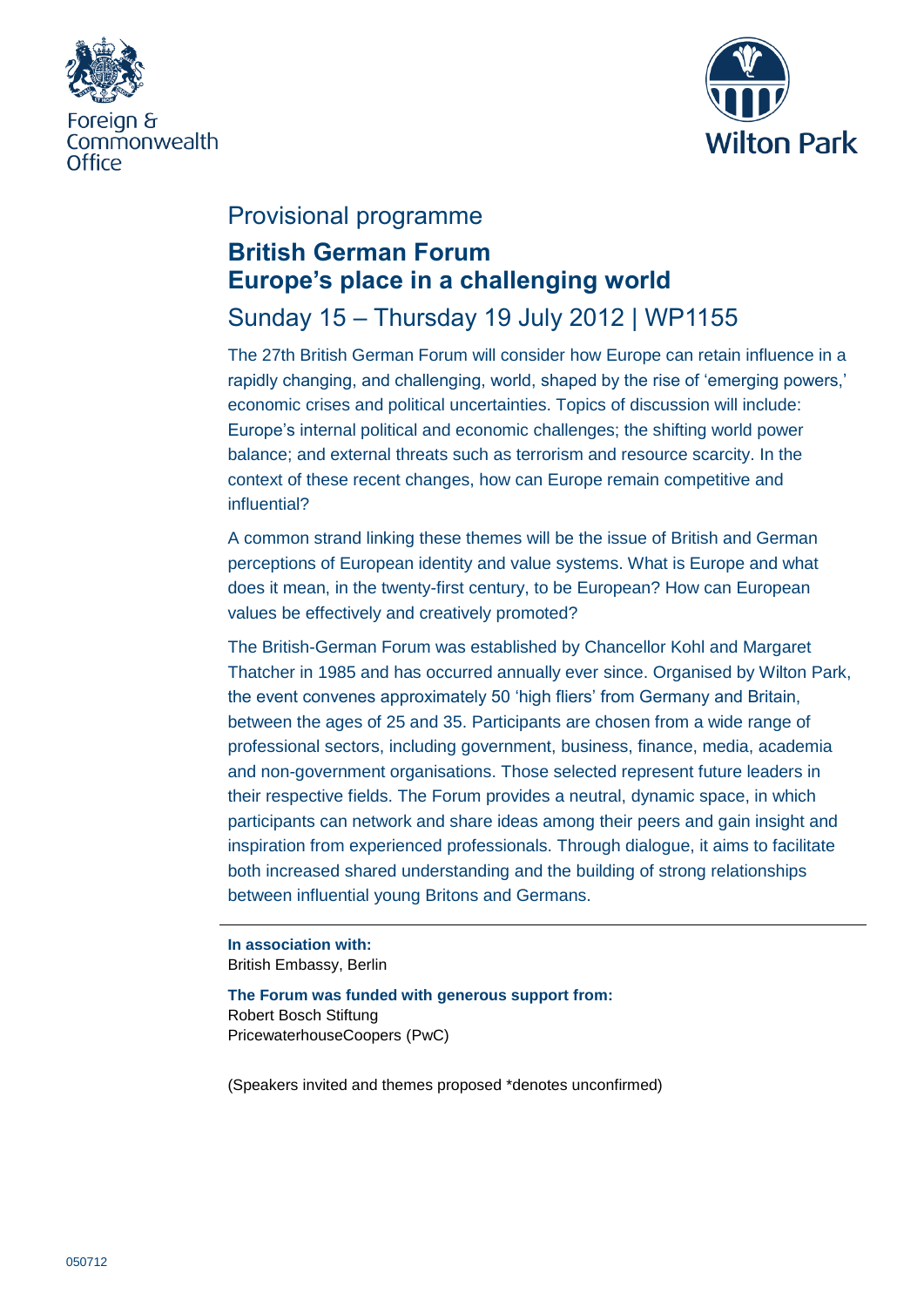



## Provisional programme

# **British German Forum Europe's place in a challenging world**

## Sunday 15 – Thursday 19 July 2012 | WP1155

The 27th British German Forum will consider how Europe can retain influence in a rapidly changing, and challenging, world, shaped by the rise of 'emerging powers,' economic crises and political uncertainties. Topics of discussion will include: Europe's internal political and economic challenges; the shifting world power balance; and external threats such as terrorism and resource scarcity. In the context of these recent changes, how can Europe remain competitive and influential?

A common strand linking these themes will be the issue of British and German perceptions of European identity and value systems. What is Europe and what does it mean, in the twenty-first century, to be European? How can European values be effectively and creatively promoted?

The British-German Forum was established by Chancellor Kohl and Margaret Thatcher in 1985 and has occurred annually ever since. Organised by Wilton Park, the event convenes approximately 50 'high fliers' from Germany and Britain, between the ages of 25 and 35. Participants are chosen from a wide range of professional sectors, including government, business, finance, media, academia and non-government organisations. Those selected represent future leaders in their respective fields. The Forum provides a neutral, dynamic space, in which participants can network and share ideas among their peers and gain insight and inspiration from experienced professionals. Through dialogue, it aims to facilitate both increased shared understanding and the building of strong relationships between influential young Britons and Germans.

## **In association with:**

British Embassy, Berlin

#### **The Forum was funded with generous support from:** Robert Bosch Stiftung

PricewaterhouseCoopers (PwC)

(Speakers invited and themes proposed \*denotes unconfirmed)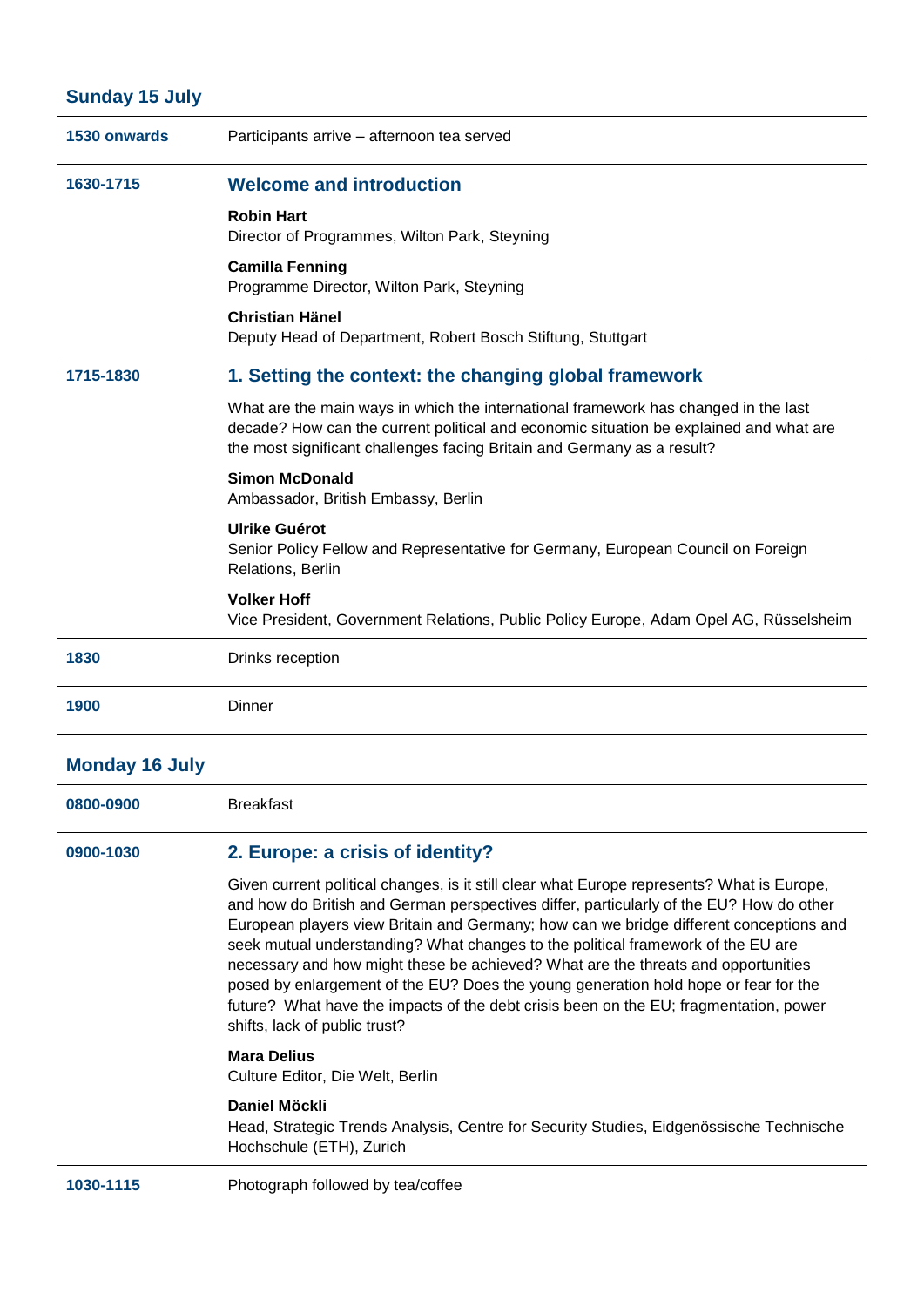### **Sunday 15 July**

| 1530 onwards | Participants arrive - afternoon tea served                                                                                                                                                                                                               |
|--------------|----------------------------------------------------------------------------------------------------------------------------------------------------------------------------------------------------------------------------------------------------------|
| 1630-1715    | <b>Welcome and introduction</b>                                                                                                                                                                                                                          |
|              | <b>Robin Hart</b><br>Director of Programmes, Wilton Park, Steyning                                                                                                                                                                                       |
|              | <b>Camilla Fenning</b><br>Programme Director, Wilton Park, Steyning                                                                                                                                                                                      |
|              | <b>Christian Hänel</b><br>Deputy Head of Department, Robert Bosch Stiftung, Stuttgart                                                                                                                                                                    |
| 1715-1830    | 1. Setting the context: the changing global framework                                                                                                                                                                                                    |
|              | What are the main ways in which the international framework has changed in the last<br>decade? How can the current political and economic situation be explained and what are<br>the most significant challenges facing Britain and Germany as a result? |
|              | <b>Simon McDonald</b><br>Ambassador, British Embassy, Berlin                                                                                                                                                                                             |
|              | <b>Ulrike Guérot</b><br>Senior Policy Fellow and Representative for Germany, European Council on Foreign<br>Relations, Berlin                                                                                                                            |
|              | <b>Volker Hoff</b><br>Vice President, Government Relations, Public Policy Europe, Adam Opel AG, Rüsselsheim                                                                                                                                              |
| 1830         | Drinks reception                                                                                                                                                                                                                                         |
| 1900         | Dinner                                                                                                                                                                                                                                                   |

### **Monday 16 July**

| 0800-0900 | <b>Breakfast</b> |
|-----------|------------------|
|           |                  |

### **0900-1030 2. Europe: a crisis of identity?**

Given current political changes, is it still clear what Europe represents? What is Europe, and how do British and German perspectives differ, particularly of the EU? How do other European players view Britain and Germany; how can we bridge different conceptions and seek mutual understanding? What changes to the political framework of the EU are necessary and how might these be achieved? What are the threats and opportunities posed by enlargement of the EU? Does the young generation hold hope or fear for the future? What have the impacts of the debt crisis been on the EU; fragmentation, power shifts, lack of public trust?

#### **Mara Delius**

Culture Editor, Die Welt, Berlin

#### **Daniel Möckli**

Head, Strategic Trends Analysis, Centre for Security Studies, Eidgenössische Technische Hochschule (ETH), Zurich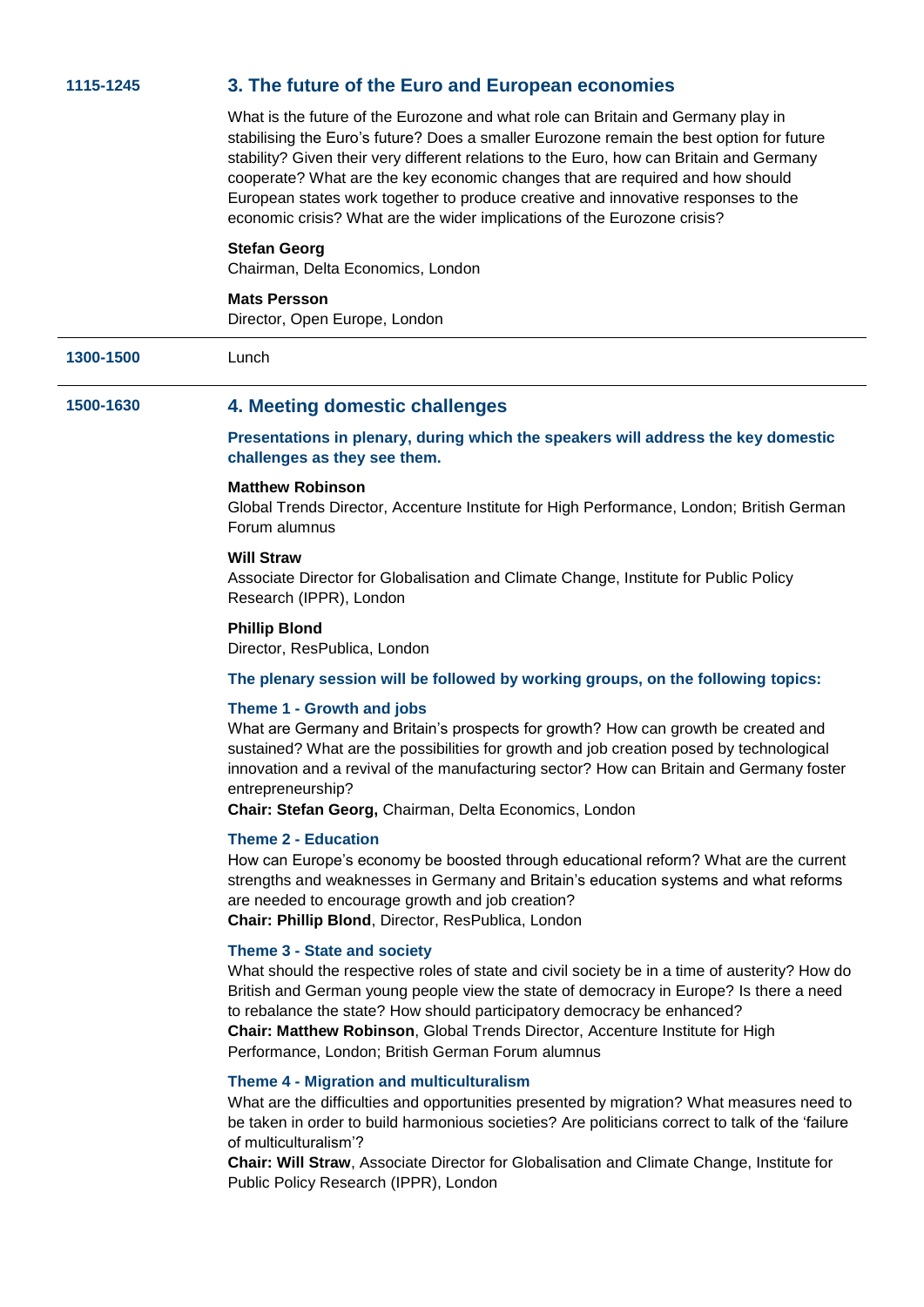#### **1115-1245 3. The future of the Euro and European economies**

What is the future of the Eurozone and what role can Britain and Germany play in stabilising the Euro's future? Does a smaller Eurozone remain the best option for future stability? Given their very different relations to the Euro, how can Britain and Germany cooperate? What are the key economic changes that are required and how should European states work together to produce creative and innovative responses to the economic crisis? What are the wider implications of the Eurozone crisis?

#### **Stefan Georg**

Chairman, Delta Economics, London

#### **Mats Persson**

|           | Director, Open Europe, London                                                                                                                                                                                                                                                                                                                                                                                                           |
|-----------|-----------------------------------------------------------------------------------------------------------------------------------------------------------------------------------------------------------------------------------------------------------------------------------------------------------------------------------------------------------------------------------------------------------------------------------------|
| 1300-1500 | Lunch                                                                                                                                                                                                                                                                                                                                                                                                                                   |
| 1500-1630 | 4. Meeting domestic challenges                                                                                                                                                                                                                                                                                                                                                                                                          |
|           | Presentations in plenary, during which the speakers will address the key domestic<br>challenges as they see them.                                                                                                                                                                                                                                                                                                                       |
|           | <b>Matthew Robinson</b><br>Global Trends Director, Accenture Institute for High Performance, London; British German<br>Forum alumnus                                                                                                                                                                                                                                                                                                    |
|           | <b>Will Straw</b><br>Associate Director for Globalisation and Climate Change, Institute for Public Policy<br>Research (IPPR), London                                                                                                                                                                                                                                                                                                    |
|           | <b>Phillip Blond</b><br>Director, ResPublica, London                                                                                                                                                                                                                                                                                                                                                                                    |
|           | The plenary session will be followed by working groups, on the following topics:                                                                                                                                                                                                                                                                                                                                                        |
|           | Theme 1 - Growth and jobs<br>What are Germany and Britain's prospects for growth? How can growth be created and<br>sustained? What are the possibilities for growth and job creation posed by technological<br>innovation and a revival of the manufacturing sector? How can Britain and Germany foster<br>entrepreneurship?<br>Chair: Stefan Georg, Chairman, Delta Economics, London                                                  |
|           | <b>Theme 2 - Education</b><br>How can Europe's economy be boosted through educational reform? What are the current<br>strengths and weaknesses in Germany and Britain's education systems and what reforms<br>are needed to encourage growth and job creation?<br>Chair: Phillip Blond, Director, ResPublica, London                                                                                                                    |
|           | Theme 3 - State and society<br>What should the respective roles of state and civil society be in a time of austerity? How do<br>British and German young people view the state of democracy in Europe? Is there a need<br>to rebalance the state? How should participatory democracy be enhanced?<br>Chair: Matthew Robinson, Global Trends Director, Accenture Institute for High<br>Performance, London; British German Forum alumnus |
|           | <b>Theme 4 - Migration and multiculturalism</b><br>What are the difficulties and opportunities presented by migration? What measures need to                                                                                                                                                                                                                                                                                            |

be taken in order to build harmonious societies? Are politicians correct to talk of the 'failure of multiculturalism'?

**Chair: Will Straw**, Associate Director for Globalisation and Climate Change, Institute for Public Policy Research (IPPR), London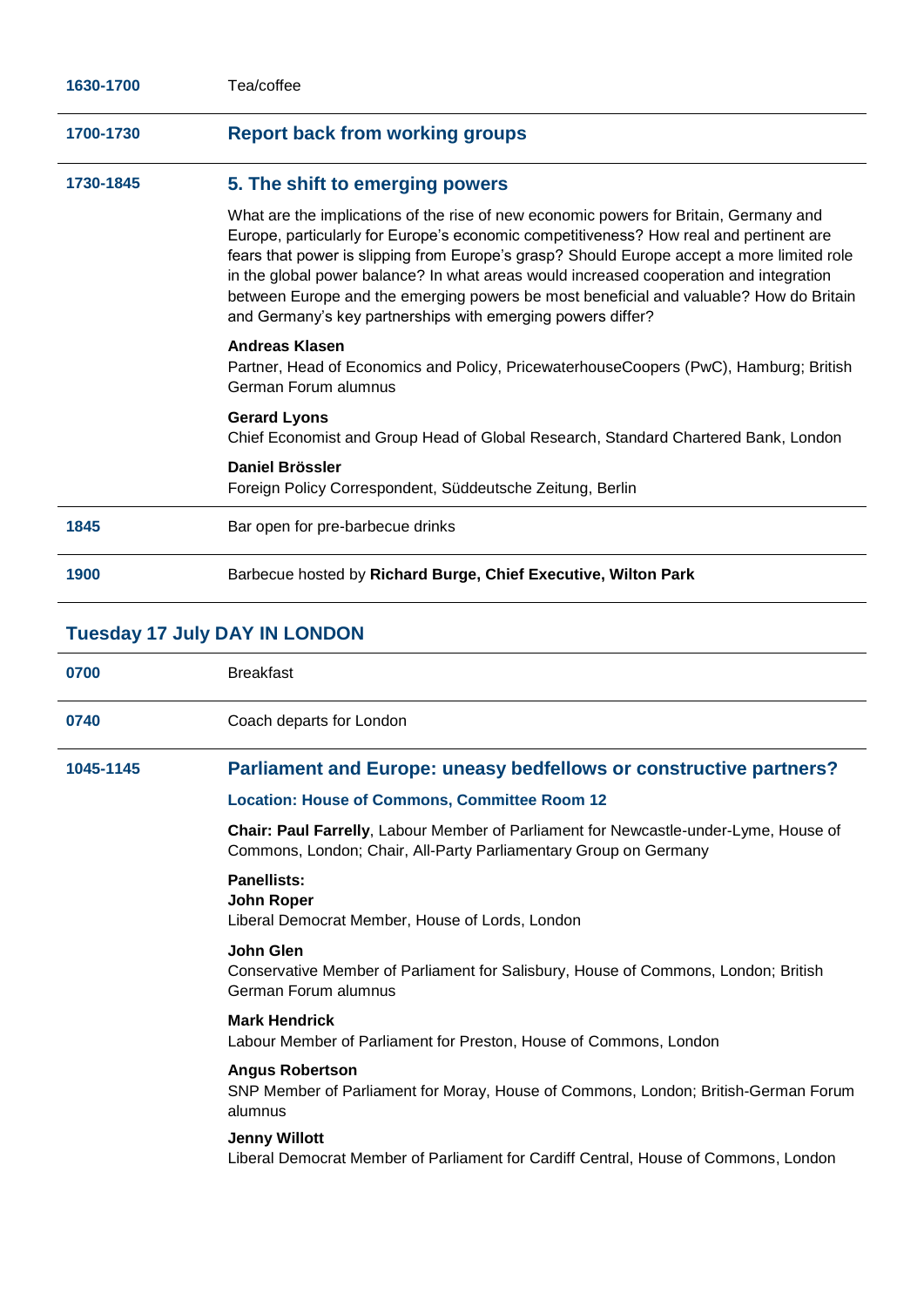| 1630-1700 | Tea/coffee                                                                                                                                                                                                                                                                                                                                                                                                                                                                                                                       |
|-----------|----------------------------------------------------------------------------------------------------------------------------------------------------------------------------------------------------------------------------------------------------------------------------------------------------------------------------------------------------------------------------------------------------------------------------------------------------------------------------------------------------------------------------------|
| 1700-1730 | <b>Report back from working groups</b>                                                                                                                                                                                                                                                                                                                                                                                                                                                                                           |
| 1730-1845 | 5. The shift to emerging powers                                                                                                                                                                                                                                                                                                                                                                                                                                                                                                  |
|           | What are the implications of the rise of new economic powers for Britain, Germany and<br>Europe, particularly for Europe's economic competitiveness? How real and pertinent are<br>fears that power is slipping from Europe's grasp? Should Europe accept a more limited role<br>in the global power balance? In what areas would increased cooperation and integration<br>between Europe and the emerging powers be most beneficial and valuable? How do Britain<br>and Germany's key partnerships with emerging powers differ? |
|           | <b>Andreas Klasen</b><br>Partner, Head of Economics and Policy, PricewaterhouseCoopers (PwC), Hamburg; British<br>German Forum alumnus                                                                                                                                                                                                                                                                                                                                                                                           |
|           | <b>Gerard Lyons</b><br>Chief Economist and Group Head of Global Research, Standard Chartered Bank, London                                                                                                                                                                                                                                                                                                                                                                                                                        |
|           | Daniel Brössler<br>Foreign Policy Correspondent, Süddeutsche Zeitung, Berlin                                                                                                                                                                                                                                                                                                                                                                                                                                                     |
| 1845      | Bar open for pre-barbecue drinks                                                                                                                                                                                                                                                                                                                                                                                                                                                                                                 |
| 1900      | Barbecue hosted by Richard Burge, Chief Executive, Wilton Park                                                                                                                                                                                                                                                                                                                                                                                                                                                                   |

| 0700      | <b>Breakfast</b>                                                                                                                                         |
|-----------|----------------------------------------------------------------------------------------------------------------------------------------------------------|
| 0740      | Coach departs for London                                                                                                                                 |
| 1045-1145 | Parliament and Europe: uneasy bedfellows or constructive partners?                                                                                       |
|           | <b>Location: House of Commons, Committee Room 12</b>                                                                                                     |
|           | Chair: Paul Farrelly, Labour Member of Parliament for Newcastle-under-Lyme, House of<br>Commons, London; Chair, All-Party Parliamentary Group on Germany |
|           | <b>Panellists:</b><br><b>John Roper</b><br>Liberal Democrat Member, House of Lords, London                                                               |
|           | John Glen<br>Conservative Member of Parliament for Salisbury, House of Commons, London; British<br>German Forum alumnus                                  |
|           | <b>Mark Hendrick</b><br>Labour Member of Parliament for Preston, House of Commons, London                                                                |
|           | <b>Angus Robertson</b><br>SNP Member of Parliament for Moray, House of Commons, London; British-German Forum<br>alumnus                                  |
|           | <b>Jenny Willott</b><br>Liberal Democrat Member of Parliament for Cardiff Central, House of Commons, London                                              |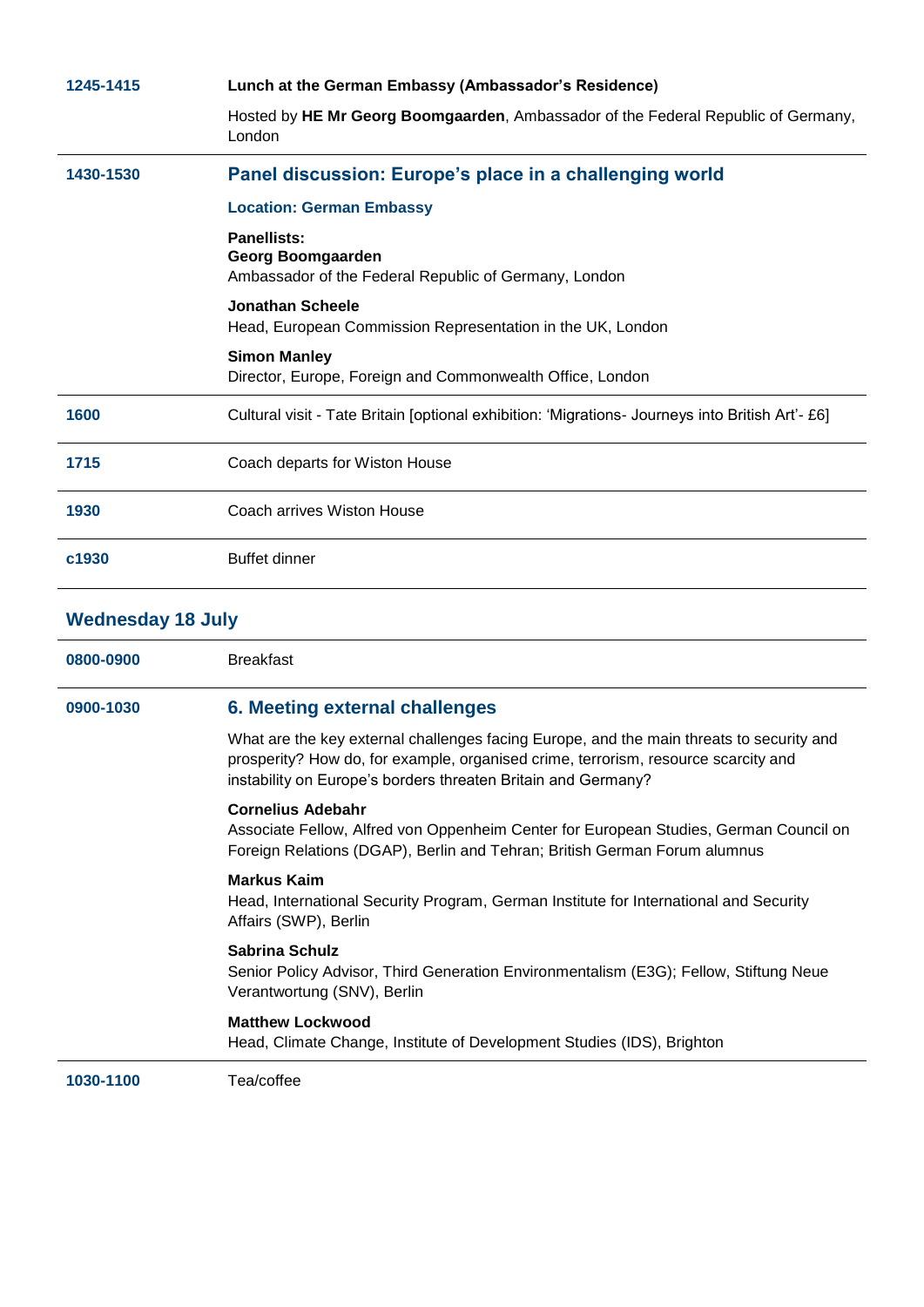| 1245-1415         | Lunch at the German Embassy (Ambassador's Residence)                                             |
|-------------------|--------------------------------------------------------------------------------------------------|
|                   | Hosted by HE Mr Georg Boomgaarden, Ambassador of the Federal Republic of Germany,<br>London      |
| 1430-1530         | Panel discussion: Europe's place in a challenging world                                          |
|                   | <b>Location: German Embassy</b>                                                                  |
|                   | Panellists:<br>Georg Boomgaarden<br>Ambassador of the Federal Republic of Germany, London        |
|                   | <b>Jonathan Scheele</b><br>Head, European Commission Representation in the UK, London            |
|                   | <b>Simon Manley</b><br>Director, Europe, Foreign and Commonwealth Office, London                 |
| 1600              | Cultural visit - Tate Britain [optional exhibition: 'Migrations- Journeys into British Art'- £6] |
| 1715              | Coach departs for Wiston House                                                                   |
| 1930              | Coach arrives Wiston House                                                                       |
| c <sub>1930</sub> | <b>Buffet dinner</b>                                                                             |

## **Wednesday 18 July**

| 0800-0900 | <b>Breakfast</b>                                                                                                                                                                                                                                |
|-----------|-------------------------------------------------------------------------------------------------------------------------------------------------------------------------------------------------------------------------------------------------|
| 0900-1030 | 6. Meeting external challenges                                                                                                                                                                                                                  |
|           | What are the key external challenges facing Europe, and the main threats to security and<br>prosperity? How do, for example, organised crime, terrorism, resource scarcity and<br>instability on Europe's borders threaten Britain and Germany? |
|           | <b>Cornelius Adebahr</b><br>Associate Fellow, Alfred von Oppenheim Center for European Studies, German Council on<br>Foreign Relations (DGAP), Berlin and Tehran; British German Forum alumnus                                                  |
|           | <b>Markus Kaim</b><br>Head, International Security Program, German Institute for International and Security<br>Affairs (SWP), Berlin                                                                                                            |
|           | Sabrina Schulz<br>Senior Policy Advisor, Third Generation Environmentalism (E3G); Fellow, Stiftung Neue<br>Verantwortung (SNV), Berlin                                                                                                          |
|           | <b>Matthew Lockwood</b><br>Head, Climate Change, Institute of Development Studies (IDS), Brighton                                                                                                                                               |
| 1030-1100 | Tea/coffee                                                                                                                                                                                                                                      |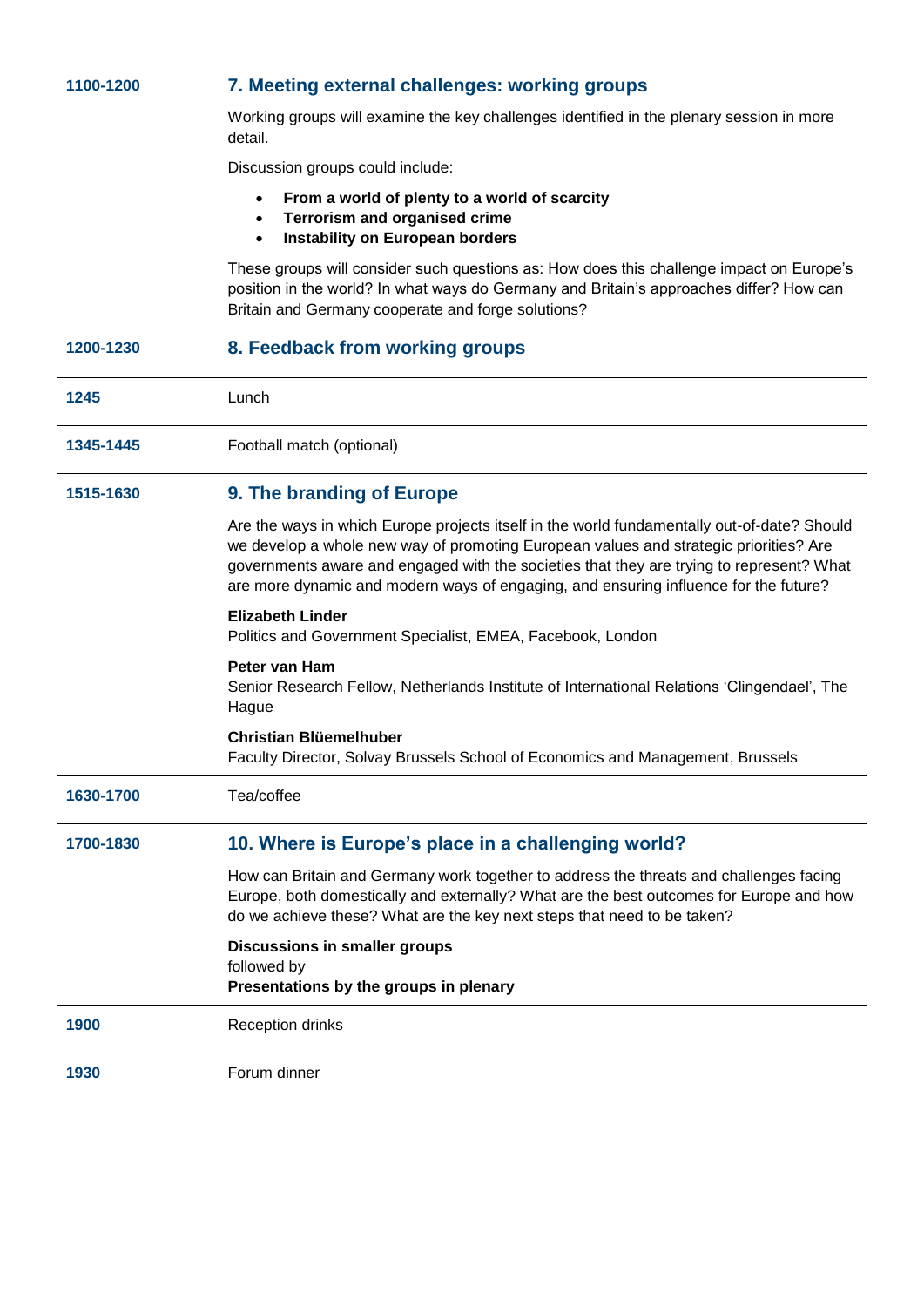| 1100-1200 | 7. Meeting external challenges: working groups                                                                                                                                                                                                                                                                                                                           |
|-----------|--------------------------------------------------------------------------------------------------------------------------------------------------------------------------------------------------------------------------------------------------------------------------------------------------------------------------------------------------------------------------|
|           | Working groups will examine the key challenges identified in the plenary session in more<br>detail.                                                                                                                                                                                                                                                                      |
|           | Discussion groups could include:                                                                                                                                                                                                                                                                                                                                         |
|           | From a world of plenty to a world of scarcity<br>$\bullet$<br><b>Terrorism and organised crime</b><br>$\bullet$<br>Instability on European borders<br>$\bullet$                                                                                                                                                                                                          |
|           | These groups will consider such questions as: How does this challenge impact on Europe's<br>position in the world? In what ways do Germany and Britain's approaches differ? How can<br>Britain and Germany cooperate and forge solutions?                                                                                                                                |
| 1200-1230 | 8. Feedback from working groups                                                                                                                                                                                                                                                                                                                                          |
| 1245      | Lunch                                                                                                                                                                                                                                                                                                                                                                    |
| 1345-1445 | Football match (optional)                                                                                                                                                                                                                                                                                                                                                |
| 1515-1630 | 9. The branding of Europe                                                                                                                                                                                                                                                                                                                                                |
|           | Are the ways in which Europe projects itself in the world fundamentally out-of-date? Should<br>we develop a whole new way of promoting European values and strategic priorities? Are<br>governments aware and engaged with the societies that they are trying to represent? What<br>are more dynamic and modern ways of engaging, and ensuring influence for the future? |
|           | <b>Elizabeth Linder</b><br>Politics and Government Specialist, EMEA, Facebook, London                                                                                                                                                                                                                                                                                    |
|           | Peter van Ham<br>Senior Research Fellow, Netherlands Institute of International Relations 'Clingendael', The<br>Hague                                                                                                                                                                                                                                                    |
|           | <b>Christian Blüemelhuber</b><br>Faculty Director, Solvay Brussels School of Economics and Management, Brussels                                                                                                                                                                                                                                                          |
| 1630-1700 | Tea/coffee                                                                                                                                                                                                                                                                                                                                                               |
| 1700-1830 | 10. Where is Europe's place in a challenging world?                                                                                                                                                                                                                                                                                                                      |
|           | How can Britain and Germany work together to address the threats and challenges facing<br>Europe, both domestically and externally? What are the best outcomes for Europe and how<br>do we achieve these? What are the key next steps that need to be taken?                                                                                                             |
|           | Discussions in smaller groups<br>followed by<br>Presentations by the groups in plenary                                                                                                                                                                                                                                                                                   |
| 1900      | <b>Reception drinks</b>                                                                                                                                                                                                                                                                                                                                                  |
| 1930      | Forum dinner                                                                                                                                                                                                                                                                                                                                                             |